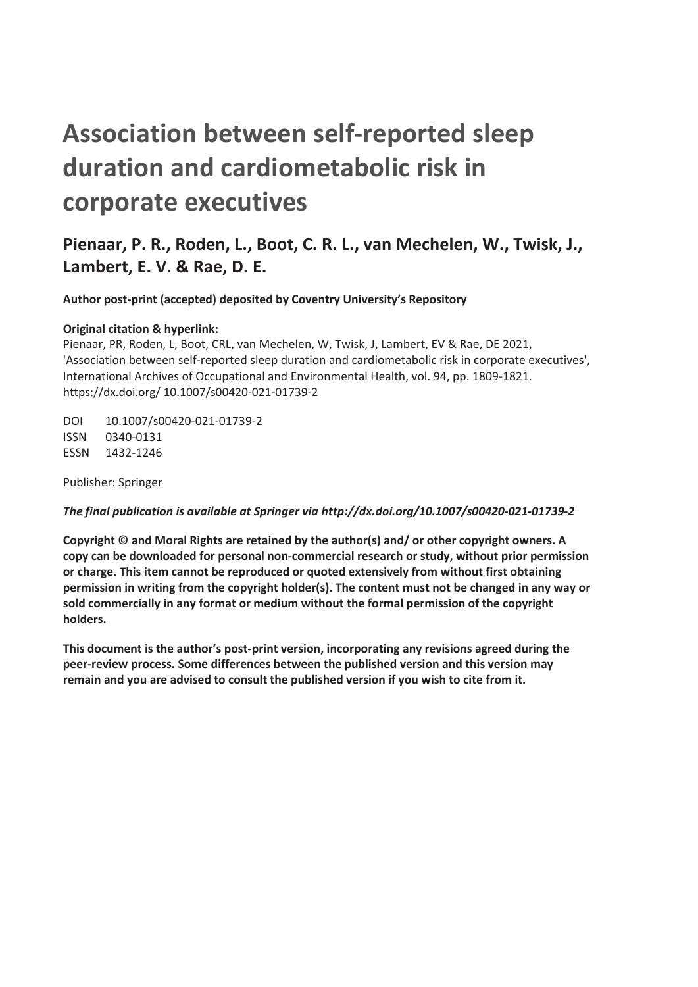# **Association between self-reported sleep duration and cardiometabolic risk in corporate executives**

# **Pienaar, P. R., Roden, L., Boot, C. R. L., van Mechelen, W., Twisk, J., Lambert, E. V. & Rae, D. E.**

**Author post-print (accepted) deposited by Coventry University's Repository** 

## **Original citation & hyperlink:**

Pienaar, PR, Roden, L, Boot, CRL, van Mechelen, W, Twisk, J, Lambert, EV & Rae, DE 2021, 'Association between self-reported sleep duration and cardiometabolic risk in corporate executives', International Archives of Occupational and Environmental Health, vol. 94, pp. 1809-1821. https://dx.doi.org/ 10.1007/s00420-021-01739-2

DOI 10.1007/s00420-021-01739-2 ISSN 0340-0131 ESSN 1432-1246

Publisher: Springer

#### *The final publication is available at Springer via http://dx.doi.org/10.1007/s00420-021-01739-2*

**Copyright © and Moral Rights are retained by the author(s) and/ or other copyright owners. A copy can be downloaded for personal non-commercial research or study, without prior permission or charge. This item cannot be reproduced or quoted extensively from without first obtaining permission in writing from the copyright holder(s). The content must not be changed in any way or sold commercially in any format or medium without the formal permission of the copyright holders.** 

**This document is the author's post-print version, incorporating any revisions agreed during the peer-review process. Some differences between the published version and this version may remain and you are advised to consult the published version if you wish to cite from it.**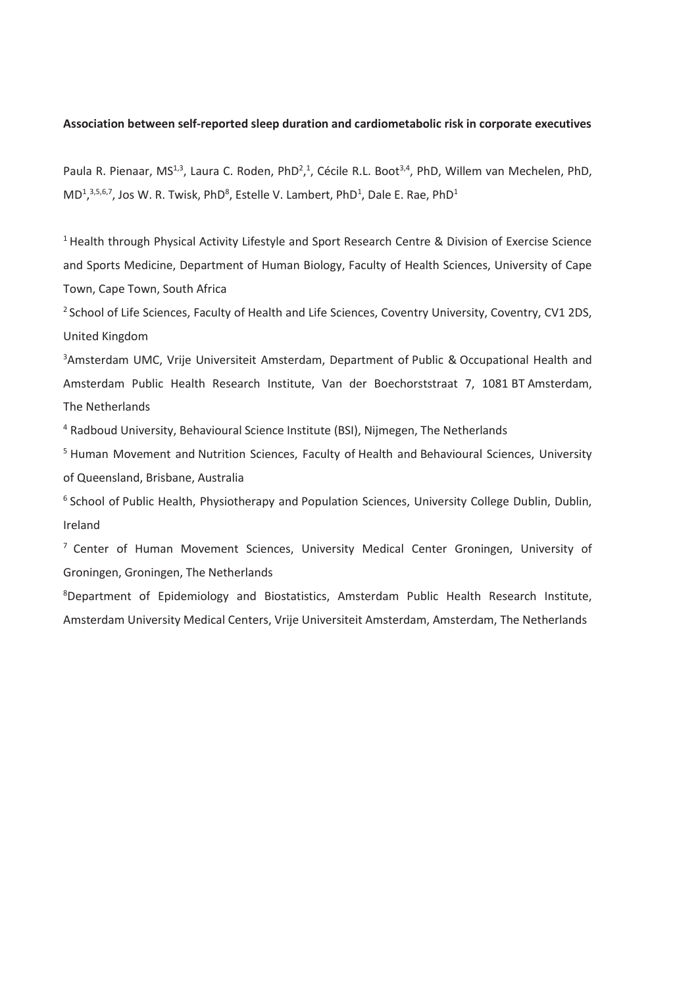#### **Association between self-reported sleep duration and cardiometabolic risk in corporate executives**

Paula R. Pienaar, MS<sup>1,3</sup>, Laura C. Roden, PhD<sup>2</sup>,<sup>1</sup>, Cécile R.L. Boot<sup>3,4</sup>, PhD, Willem van Mechelen, PhD, MD<sup>1</sup>,<sup>3,5,6,7</sup>, Jos W. R. Twisk, PhD<sup>8</sup>, Estelle V. Lambert, PhD<sup>1</sup>, Dale E. Rae, PhD<sup>1</sup>

<sup>1</sup> Health through Physical Activity Lifestyle and Sport Research Centre & Division of Exercise Science and Sports Medicine, Department of Human Biology, Faculty of Health Sciences, University of Cape Town, Cape Town, South Africa

<sup>2</sup> School of Life Sciences, Faculty of Health and Life Sciences, Coventry University, Coventry, CV1 2DS, United Kingdom

<sup>3</sup>Amsterdam UMC, Vrije Universiteit Amsterdam, Department of Public & Occupational Health and Amsterdam Public Health Research Institute, Van der Boechorststraat 7, 1081 BT Amsterdam, The Netherlands

4 Radboud University, Behavioural Science Institute (BSI), Nijmegen, The Netherlands

<sup>5</sup> Human Movement and Nutrition Sciences, Faculty of Health and Behavioural Sciences, University of Queensland, Brisbane, Australia

<sup>6</sup> School of Public Health, Physiotherapy and Population Sciences, University College Dublin, Dublin, Ireland

 $<sup>7</sup>$  Center of Human Movement Sciences, University Medical Center Groningen, University of</sup> Groningen, Groningen, The Netherlands

<sup>8</sup>Department of Epidemiology and Biostatistics, Amsterdam Public Health Research Institute, Amsterdam University Medical Centers, Vrije Universiteit Amsterdam, Amsterdam, The Netherlands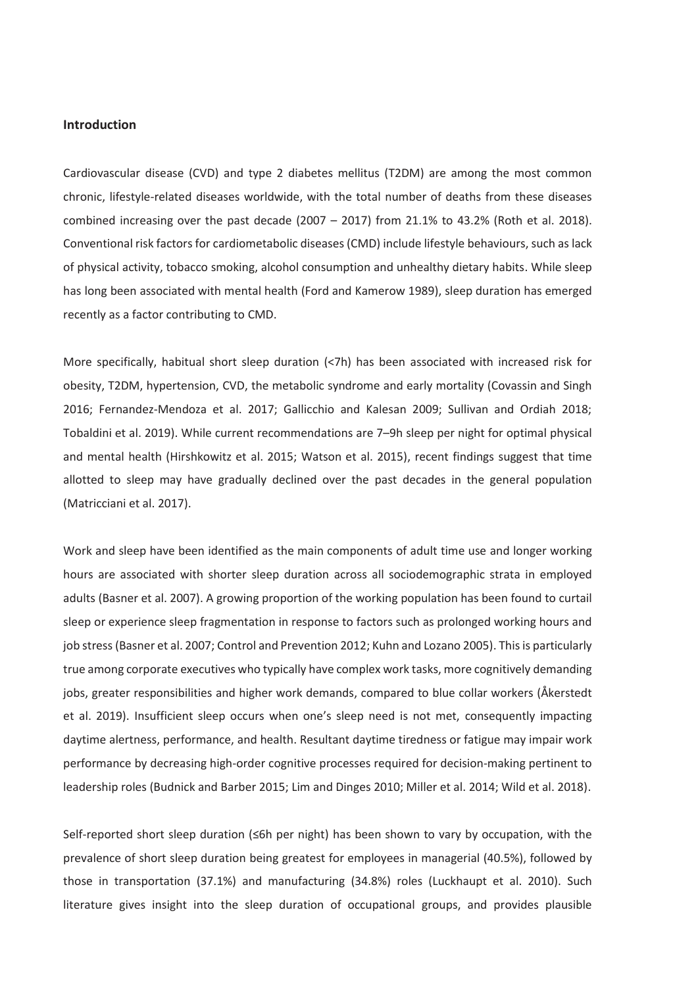# **Introduction**

Cardiovascular disease (CVD) and type 2 diabetes mellitus (T2DM) are among the most common chronic, lifestyle-related diseases worldwide, with the total number of deaths from these diseases combined increasing over the past decade  $(2007 - 2017)$  from 21.1% to 43.2% (Roth et al. 2018). Conventional risk factors for cardiometabolic diseases (CMD) include lifestyle behaviours, such as lack of physical activity, tobacco smoking, alcohol consumption and unhealthy dietary habits. While sleep has long been associated with mental health (Ford and Kamerow 1989), sleep duration has emerged recently as a factor contributing to CMD.

More specifically, habitual short sleep duration (<7h) has been associated with increased risk for obesity, T2DM, hypertension, CVD, the metabolic syndrome and early mortality (Covassin and Singh 2016; Fernandez-Mendoza et al. 2017; Gallicchio and Kalesan 2009; Sullivan and Ordiah 2018; Tobaldini et al. 2019). While current recommendations are 7–9h sleep per night for optimal physical and mental health (Hirshkowitz et al. 2015; Watson et al. 2015), recent findings suggest that time allotted to sleep may have gradually declined over the past decades in the general population (Matricciani et al. 2017).

Work and sleep have been identified as the main components of adult time use and longer working hours are associated with shorter sleep duration across all sociodemographic strata in employed adults (Basner et al. 2007). A growing proportion of the working population has been found to curtail sleep or experience sleep fragmentation in response to factors such as prolonged working hours and job stress (Basner et al. 2007; Control and Prevention 2012; Kuhn and Lozano 2005). This is particularly true among corporate executives who typically have complex work tasks, more cognitively demanding jobs, greater responsibilities and higher work demands, compared to blue collar workers (Åkerstedt et al. 2019). Insufficient sleep occurs when one's sleep need is not met, consequently impacting daytime alertness, performance, and health. Resultant daytime tiredness or fatigue may impair work performance by decreasing high-order cognitive processes required for decision-making pertinent to leadership roles (Budnick and Barber 2015; Lim and Dinges 2010; Miller et al. 2014; Wild et al. 2018).

Self-reported short sleep duration (≤6h per night) has been shown to vary by occupation, with the prevalence of short sleep duration being greatest for employees in managerial (40.5%), followed by those in transportation (37.1%) and manufacturing (34.8%) roles (Luckhaupt et al. 2010). Such literature gives insight into the sleep duration of occupational groups, and provides plausible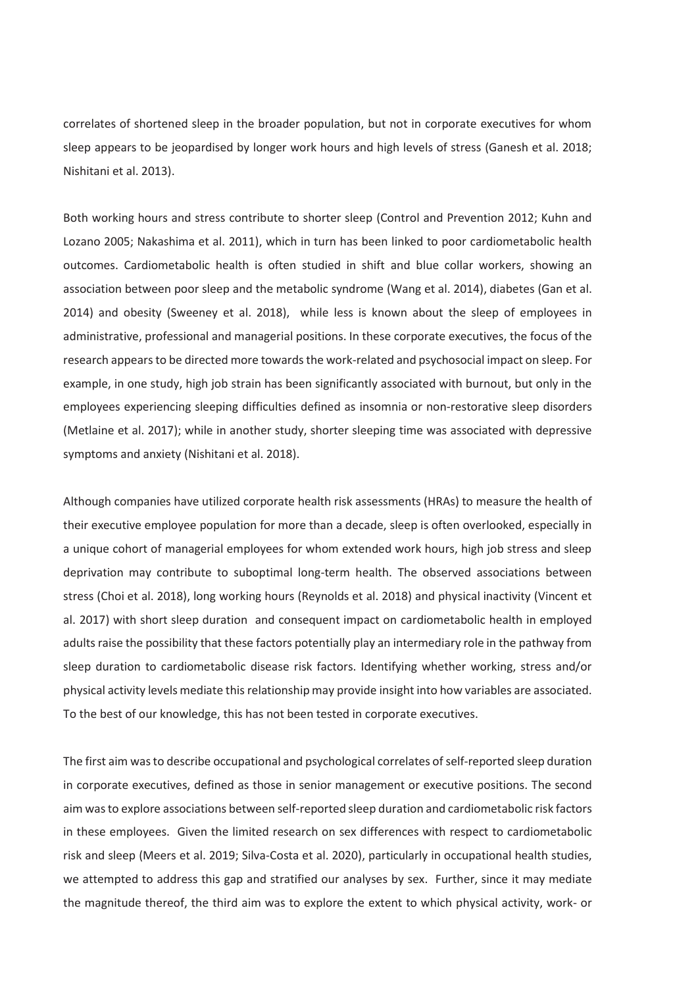correlates of shortened sleep in the broader population, but not in corporate executives for whom sleep appears to be jeopardised by longer work hours and high levels of stress (Ganesh et al. 2018; Nishitani et al. 2013).

Both working hours and stress contribute to shorter sleep (Control and Prevention 2012; Kuhn and Lozano 2005; Nakashima et al. 2011), which in turn has been linked to poor cardiometabolic health outcomes. Cardiometabolic health is often studied in shift and blue collar workers, showing an association between poor sleep and the metabolic syndrome (Wang et al. 2014), diabetes (Gan et al. 2014) and obesity (Sweeney et al. 2018), while less is known about the sleep of employees in administrative, professional and managerial positions. In these corporate executives, the focus of the research appears to be directed more towards the work-related and psychosocial impact on sleep. For example, in one study, high job strain has been significantly associated with burnout, but only in the employees experiencing sleeping difficulties defined as insomnia or non-restorative sleep disorders (Metlaine et al. 2017); while in another study, shorter sleeping time was associated with depressive symptoms and anxiety (Nishitani et al. 2018).

Although companies have utilized corporate health risk assessments (HRAs) to measure the health of their executive employee population for more than a decade, sleep is often overlooked, especially in a unique cohort of managerial employees for whom extended work hours, high job stress and sleep deprivation may contribute to suboptimal long-term health. The observed associations between stress (Choi et al. 2018), long working hours (Reynolds et al. 2018) and physical inactivity (Vincent et al. 2017) with short sleep duration and consequent impact on cardiometabolic health in employed adults raise the possibility that these factors potentially play an intermediary role in the pathway from sleep duration to cardiometabolic disease risk factors. Identifying whether working, stress and/or physical activity levels mediate this relationship may provide insight into how variables are associated. To the best of our knowledge, this has not been tested in corporate executives.

The first aim was to describe occupational and psychological correlates of self-reported sleep duration in corporate executives, defined as those in senior management or executive positions. The second aim was to explore associations between self-reported sleep duration and cardiometabolic risk factors in these employees. Given the limited research on sex differences with respect to cardiometabolic risk and sleep (Meers et al. 2019; Silva-Costa et al. 2020), particularly in occupational health studies, we attempted to address this gap and stratified our analyses by sex. Further, since it may mediate the magnitude thereof, the third aim was to explore the extent to which physical activity, work- or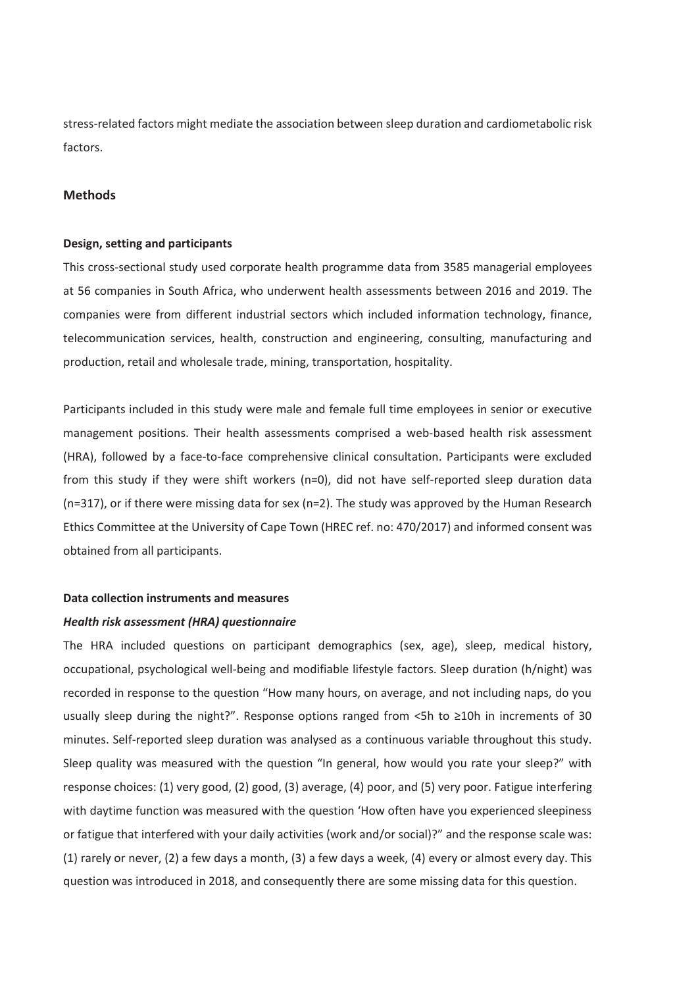stress-related factors might mediate the association between sleep duration and cardiometabolic risk factors.

# **Methods**

#### **Design, setting and participants**

This cross-sectional study used corporate health programme data from 3585 managerial employees at 56 companies in South Africa, who underwent health assessments between 2016 and 2019. The companies were from different industrial sectors which included information technology, finance, telecommunication services, health, construction and engineering, consulting, manufacturing and production, retail and wholesale trade, mining, transportation, hospitality.

Participants included in this study were male and female full time employees in senior or executive management positions. Their health assessments comprised a web-based health risk assessment (HRA), followed by a face-to-face comprehensive clinical consultation. Participants were excluded from this study if they were shift workers (n=0), did not have self-reported sleep duration data (n=317), or if there were missing data for sex (n=2). The study was approved by the Human Research Ethics Committee at the University of Cape Town (HREC ref. no: 470/2017) and informed consent was obtained from all participants.

#### **Data collection instruments and measures**

#### *Health risk assessment (HRA) questionnaire*

The HRA included questions on participant demographics (sex, age), sleep, medical history, occupational, psychological well-being and modifiable lifestyle factors. Sleep duration (h/night) was recorded in response to the question "How many hours, on average, and not including naps, do you usually sleep during the night?". Response options ranged from <5h to ≥10h in increments of 30 minutes. Self-reported sleep duration was analysed as a continuous variable throughout this study. Sleep quality was measured with the question "In general, how would you rate your sleep?" with response choices: (1) very good, (2) good, (3) average, (4) poor, and (5) very poor. Fatigue interfering with daytime function was measured with the question 'How often have you experienced sleepiness or fatigue that interfered with your daily activities (work and/or social)?" and the response scale was: (1) rarely or never, (2) a few days a month, (3) a few days a week, (4) every or almost every day. This question was introduced in 2018, and consequently there are some missing data for this question.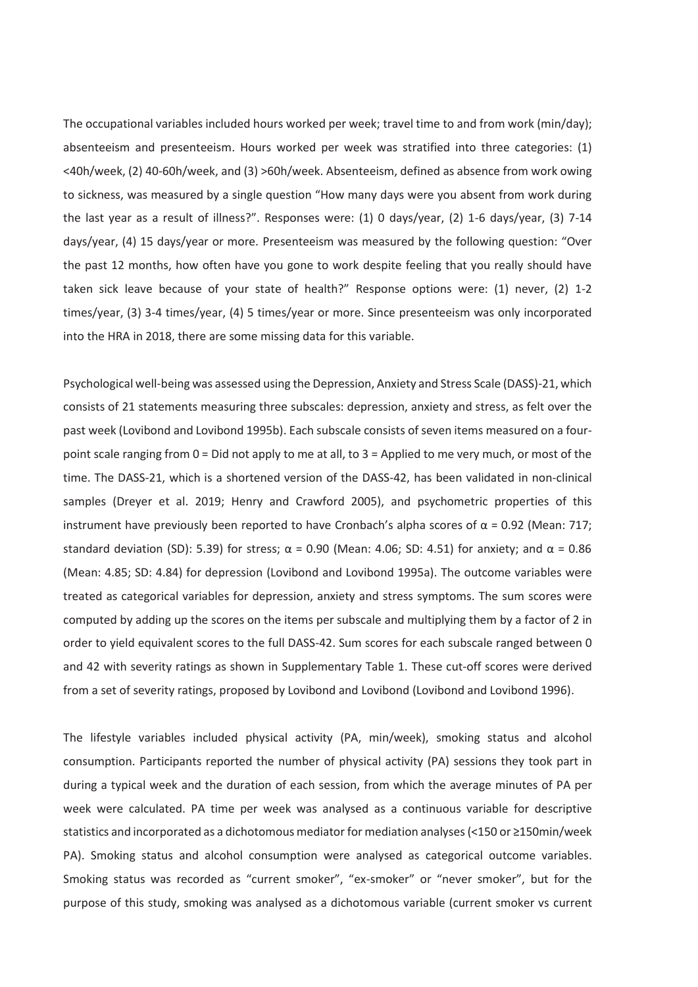The occupational variables included hours worked per week; travel time to and from work (min/day); absenteeism and presenteeism. Hours worked per week was stratified into three categories: (1) <40h/week, (2) 40-60h/week, and (3) >60h/week. Absenteeism, defined as absence from work owing to sickness, was measured by a single question "How many days were you absent from work during the last year as a result of illness?". Responses were: (1) 0 days/year, (2) 1-6 days/year, (3) 7-14 days/year, (4) 15 days/year or more. Presenteeism was measured by the following question: "Over the past 12 months, how often have you gone to work despite feeling that you really should have taken sick leave because of your state of health?" Response options were: (1) never, (2) 1-2 times/year, (3) 3-4 times/year, (4) 5 times/year or more. Since presenteeism was only incorporated into the HRA in 2018, there are some missing data for this variable.

Psychological well-being was assessed using the Depression, Anxiety and Stress Scale (DASS)-21, which consists of 21 statements measuring three subscales: depression, anxiety and stress, as felt over the past week (Lovibond and Lovibond 1995b). Each subscale consists of seven items measured on a fourpoint scale ranging from 0 = Did not apply to me at all, to 3 = Applied to me very much, or most of the time. The DASS-21, which is a shortened version of the DASS-42, has been validated in non-clinical samples (Dreyer et al. 2019; Henry and Crawford 2005), and psychometric properties of this instrument have previously been reported to have Cronbach's alpha scores of  $\alpha$  = 0.92 (Mean: 717; standard deviation (SD): 5.39) for stress;  $\alpha$  = 0.90 (Mean: 4.06; SD: 4.51) for anxiety; and  $\alpha$  = 0.86 (Mean: 4.85; SD: 4.84) for depression (Lovibond and Lovibond 1995a). The outcome variables were treated as categorical variables for depression, anxiety and stress symptoms. The sum scores were computed by adding up the scores on the items per subscale and multiplying them by a factor of 2 in order to yield equivalent scores to the full DASS-42. Sum scores for each subscale ranged between 0 and 42 with severity ratings as shown in Supplementary Table 1. These cut-off scores were derived from a set of severity ratings, proposed by Lovibond and Lovibond (Lovibond and Lovibond 1996).

The lifestyle variables included physical activity (PA, min/week), smoking status and alcohol consumption. Participants reported the number of physical activity (PA) sessions they took part in during a typical week and the duration of each session, from which the average minutes of PA per week were calculated. PA time per week was analysed as a continuous variable for descriptive statistics and incorporated as a dichotomous mediator for mediation analyses (<150 or ≥150min/week PA). Smoking status and alcohol consumption were analysed as categorical outcome variables. Smoking status was recorded as "current smoker", "ex-smoker" or "never smoker", but for the purpose of this study, smoking was analysed as a dichotomous variable (current smoker vs current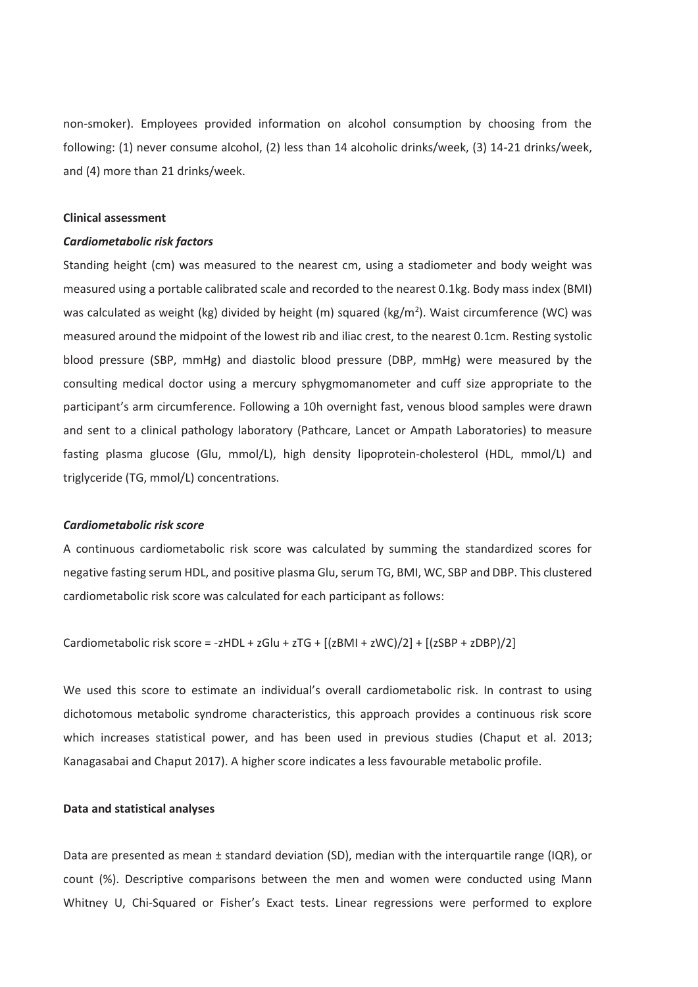non-smoker). Employees provided information on alcohol consumption by choosing from the following: (1) never consume alcohol, (2) less than 14 alcoholic drinks/week, (3) 14-21 drinks/week, and (4) more than 21 drinks/week.

#### **Clinical assessment**

# *Cardiometabolic risk factors*

Standing height (cm) was measured to the nearest cm, using a stadiometer and body weight was measured using a portable calibrated scale and recorded to the nearest 0.1kg. Body mass index (BMI) was calculated as weight (kg) divided by height (m) squared (kg/m<sup>2</sup>). Waist circumference (WC) was measured around the midpoint of the lowest rib and iliac crest, to the nearest 0.1cm. Resting systolic blood pressure (SBP, mmHg) and diastolic blood pressure (DBP, mmHg) were measured by the consulting medical doctor using a mercury sphygmomanometer and cuff size appropriate to the participant's arm circumference. Following a 10h overnight fast, venous blood samples were drawn and sent to a clinical pathology laboratory (Pathcare, Lancet or Ampath Laboratories) to measure fasting plasma glucose (Glu, mmol/L), high density lipoprotein-cholesterol (HDL, mmol/L) and triglyceride (TG, mmol/L) concentrations.

#### *Cardiometabolic risk score*

A continuous cardiometabolic risk score was calculated by summing the standardized scores for negative fasting serum HDL, and positive plasma Glu, serum TG, BMI, WC, SBP and DBP. This clustered cardiometabolic risk score was calculated for each participant as follows:

Cardiometabolic risk score = -zHDL + zGlu + zTG +  $[(zBMI + zwC)/2] + [(zSBP + zDBP)/2]$ 

We used this score to estimate an individual's overall cardiometabolic risk. In contrast to using dichotomous metabolic syndrome characteristics, this approach provides a continuous risk score which increases statistical power, and has been used in previous studies (Chaput et al. 2013; Kanagasabai and Chaput 2017). A higher score indicates a less favourable metabolic profile.

#### **Data and statistical analyses**

Data are presented as mean ± standard deviation (SD), median with the interquartile range (IQR), or count (%). Descriptive comparisons between the men and women were conducted using Mann Whitney U, Chi-Squared or Fisher's Exact tests. Linear regressions were performed to explore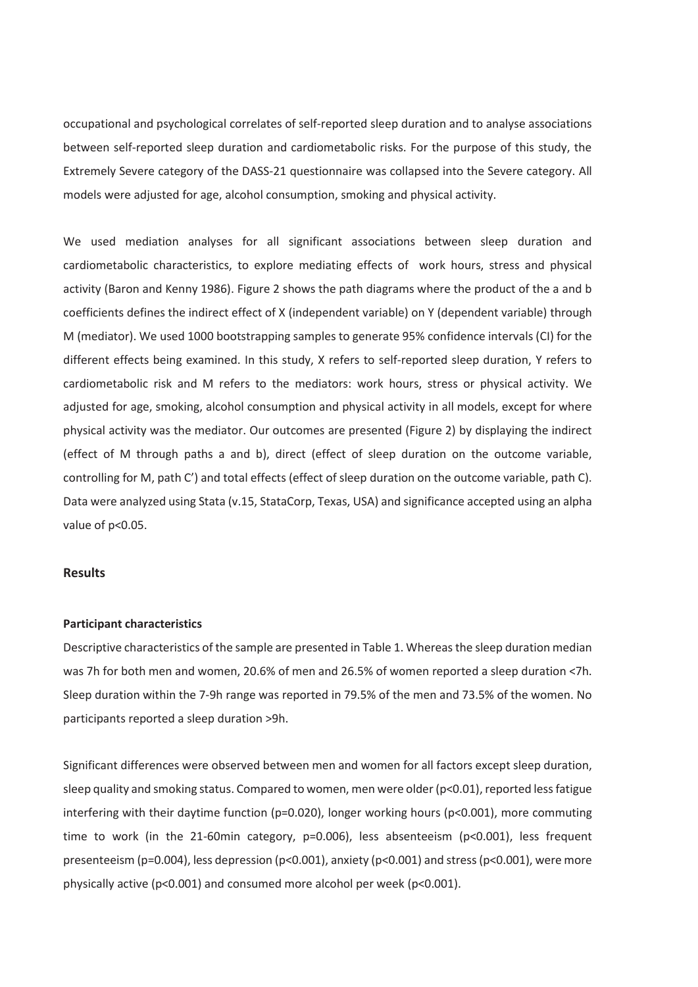occupational and psychological correlates of self-reported sleep duration and to analyse associations between self-reported sleep duration and cardiometabolic risks. For the purpose of this study, the Extremely Severe category of the DASS-21 questionnaire was collapsed into the Severe category. All models were adjusted for age, alcohol consumption, smoking and physical activity.

We used mediation analyses for all significant associations between sleep duration and cardiometabolic characteristics, to explore mediating effects of work hours, stress and physical activity (Baron and Kenny 1986). Figure 2 shows the path diagrams where the product of the a and b coefficients defines the indirect effect of X (independent variable) on Y (dependent variable) through M (mediator). We used 1000 bootstrapping samples to generate 95% confidence intervals (CI) for the different effects being examined. In this study, X refers to self-reported sleep duration, Y refers to cardiometabolic risk and M refers to the mediators: work hours, stress or physical activity. We adjusted for age, smoking, alcohol consumption and physical activity in all models, except for where physical activity was the mediator. Our outcomes are presented (Figure 2) by displaying the indirect (effect of M through paths a and b), direct (effect of sleep duration on the outcome variable, controlling for M, path C') and total effects (effect of sleep duration on the outcome variable, path C). Data were analyzed using Stata (v.15, StataCorp, Texas, USA) and significance accepted using an alpha value of p<0.05.

# **Results**

#### **Participant characteristics**

Descriptive characteristics of the sample are presented in Table 1. Whereas the sleep duration median was 7h for both men and women, 20.6% of men and 26.5% of women reported a sleep duration <7h. Sleep duration within the 7-9h range was reported in 79.5% of the men and 73.5% of the women. No participants reported a sleep duration >9h.

Significant differences were observed between men and women for all factors except sleep duration, sleep quality and smoking status. Compared to women, men were older (p<0.01), reported less fatigue interfering with their daytime function (p=0.020), longer working hours (p<0.001), more commuting time to work (in the 21-60min category, p=0.006), less absenteeism (p<0.001), less frequent presenteeism (p=0.004), less depression (p<0.001), anxiety (p<0.001) and stress (p<0.001), were more physically active (p<0.001) and consumed more alcohol per week (p<0.001).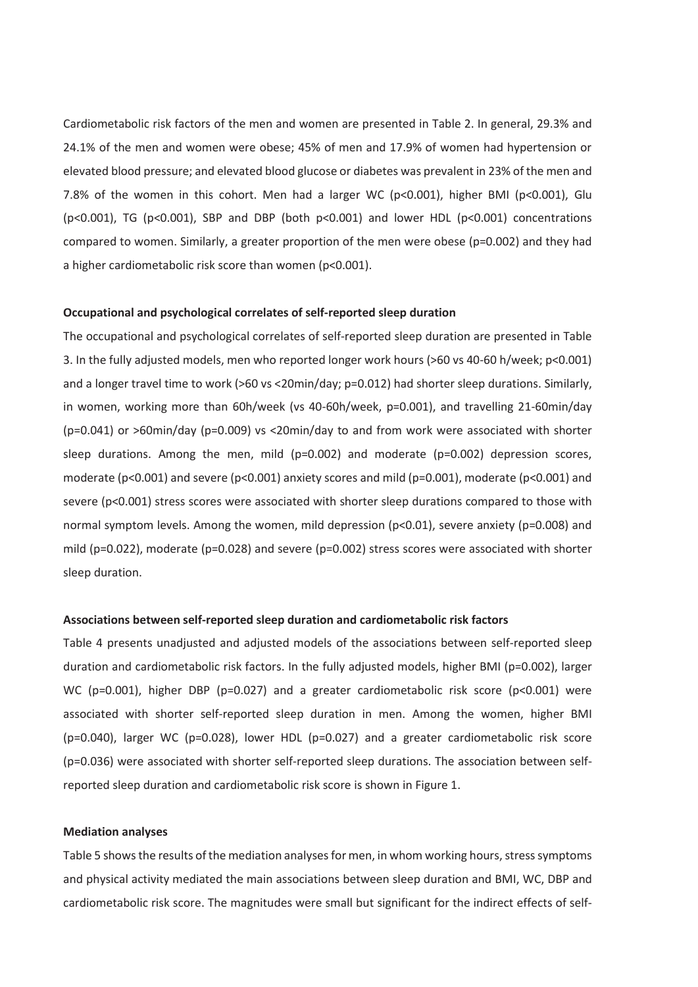Cardiometabolic risk factors of the men and women are presented in Table 2. In general, 29.3% and 24.1% of the men and women were obese; 45% of men and 17.9% of women had hypertension or elevated blood pressure; and elevated blood glucose or diabetes was prevalent in 23% of the men and 7.8% of the women in this cohort. Men had a larger WC (p<0.001), higher BMI (p<0.001), Glu (p<0.001), TG (p<0.001), SBP and DBP (both p<0.001) and lower HDL (p<0.001) concentrations compared to women. Similarly, a greater proportion of the men were obese (p=0.002) and they had a higher cardiometabolic risk score than women (p<0.001).

#### **Occupational and psychological correlates of self-reported sleep duration**

The occupational and psychological correlates of self-reported sleep duration are presented in Table 3. In the fully adjusted models, men who reported longer work hours (>60 vs 40-60 h/week; p<0.001) and a longer travel time to work (>60 vs <20min/day; p=0.012) had shorter sleep durations. Similarly, in women, working more than 60h/week (vs 40-60h/week, p=0.001), and travelling 21-60min/day (p=0.041) or >60min/day (p=0.009) vs <20min/day to and from work were associated with shorter sleep durations. Among the men, mild (p=0.002) and moderate (p=0.002) depression scores, moderate (p<0.001) and severe (p<0.001) anxiety scores and mild (p=0.001), moderate (p<0.001) and severe (p<0.001) stress scores were associated with shorter sleep durations compared to those with normal symptom levels. Among the women, mild depression (p<0.01), severe anxiety (p=0.008) and mild (p=0.022), moderate (p=0.028) and severe (p=0.002) stress scores were associated with shorter sleep duration.

#### **Associations between self-reported sleep duration and cardiometabolic risk factors**

Table 4 presents unadjusted and adjusted models of the associations between self-reported sleep duration and cardiometabolic risk factors. In the fully adjusted models, higher BMI (p=0.002), larger WC (p=0.001), higher DBP (p=0.027) and a greater cardiometabolic risk score (p<0.001) were associated with shorter self-reported sleep duration in men. Among the women, higher BMI (p=0.040), larger WC (p=0.028), lower HDL (p=0.027) and a greater cardiometabolic risk score (p=0.036) were associated with shorter self-reported sleep durations. The association between selfreported sleep duration and cardiometabolic risk score is shown in Figure 1.

#### **Mediation analyses**

Table 5 shows the results of the mediation analyses for men, in whom working hours, stress symptoms and physical activity mediated the main associations between sleep duration and BMI, WC, DBP and cardiometabolic risk score. The magnitudes were small but significant for the indirect effects of self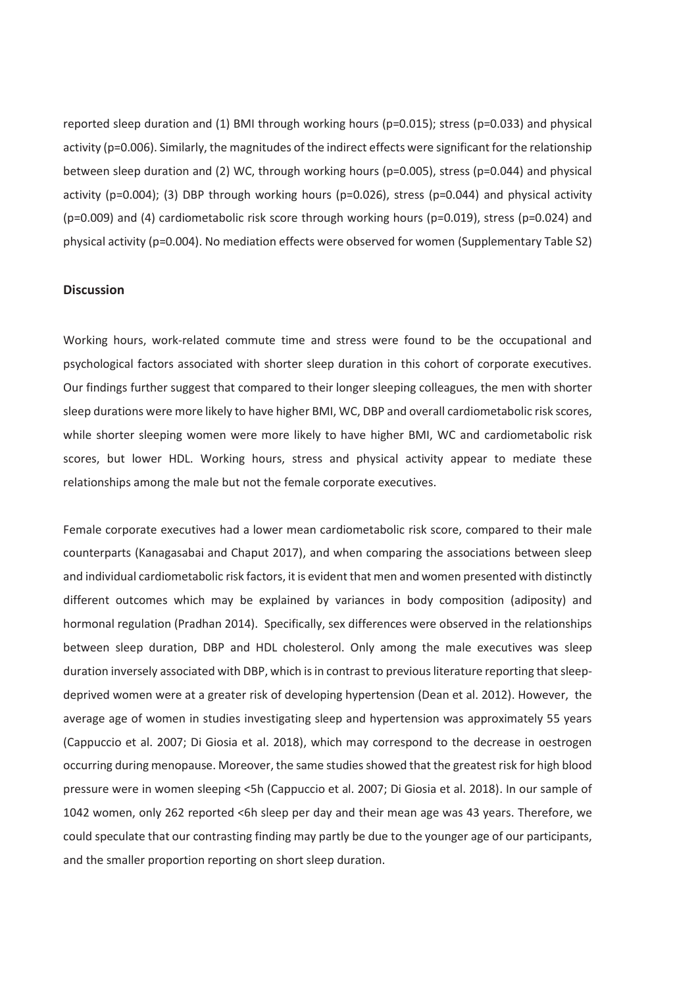reported sleep duration and (1) BMI through working hours (p=0.015); stress (p=0.033) and physical activity (p=0.006). Similarly, the magnitudes of the indirect effects were significant for the relationship between sleep duration and (2) WC, through working hours (p=0.005), stress (p=0.044) and physical activity (p=0.004); (3) DBP through working hours (p=0.026), stress (p=0.044) and physical activity (p=0.009) and (4) cardiometabolic risk score through working hours (p=0.019), stress (p=0.024) and physical activity (p=0.004). No mediation effects were observed for women (Supplementary Table S2)

# **Discussion**

Working hours, work-related commute time and stress were found to be the occupational and psychological factors associated with shorter sleep duration in this cohort of corporate executives. Our findings further suggest that compared to their longer sleeping colleagues, the men with shorter sleep durations were more likely to have higher BMI, WC, DBP and overall cardiometabolic risk scores, while shorter sleeping women were more likely to have higher BMI, WC and cardiometabolic risk scores, but lower HDL. Working hours, stress and physical activity appear to mediate these relationships among the male but not the female corporate executives.

Female corporate executives had a lower mean cardiometabolic risk score, compared to their male counterparts (Kanagasabai and Chaput 2017), and when comparing the associations between sleep and individual cardiometabolic risk factors, it is evident that men and women presented with distinctly different outcomes which may be explained by variances in body composition (adiposity) and hormonal regulation (Pradhan 2014). Specifically, sex differences were observed in the relationships between sleep duration, DBP and HDL cholesterol. Only among the male executives was sleep duration inversely associated with DBP, which is in contrast to previous literature reporting that sleepdeprived women were at a greater risk of developing hypertension (Dean et al. 2012). However, the average age of women in studies investigating sleep and hypertension was approximately 55 years (Cappuccio et al. 2007; Di Giosia et al. 2018), which may correspond to the decrease in oestrogen occurring during menopause. Moreover, the same studies showed that the greatest risk for high blood pressure were in women sleeping <5h (Cappuccio et al. 2007; Di Giosia et al. 2018). In our sample of 1042 women, only 262 reported <6h sleep per day and their mean age was 43 years. Therefore, we could speculate that our contrasting finding may partly be due to the younger age of our participants, and the smaller proportion reporting on short sleep duration.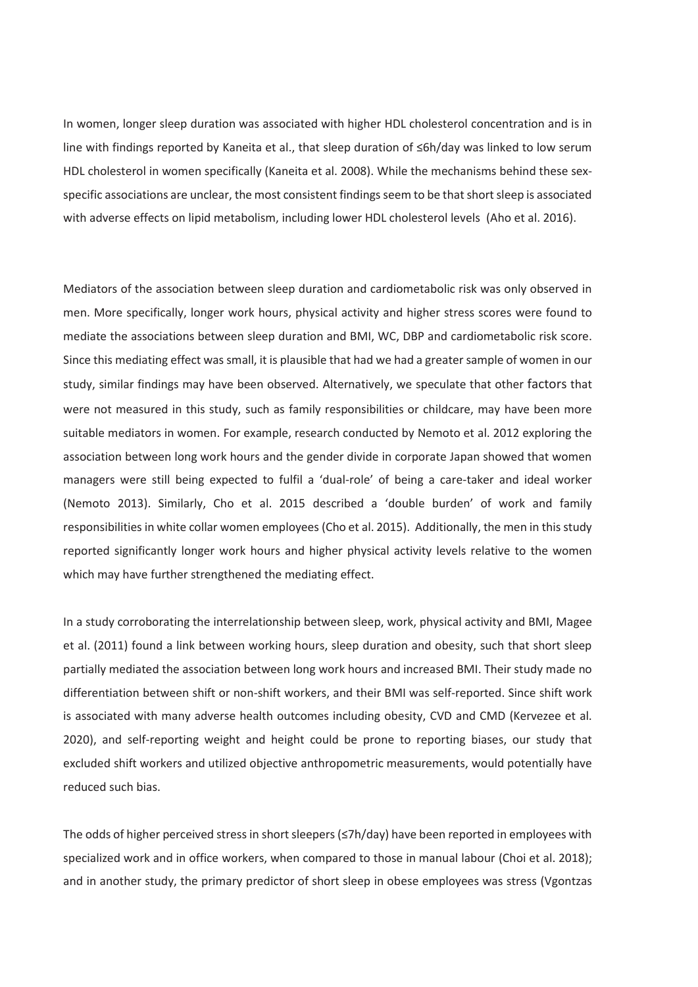In women, longer sleep duration was associated with higher HDL cholesterol concentration and is in line with findings reported by Kaneita et al., that sleep duration of ≤6h/day was linked to low serum HDL cholesterol in women specifically (Kaneita et al. 2008). While the mechanisms behind these sexspecific associations are unclear, the most consistent findings seem to be that short sleep is associated with adverse effects on lipid metabolism, including lower HDL cholesterol levels (Aho et al. 2016).

Mediators of the association between sleep duration and cardiometabolic risk was only observed in men. More specifically, longer work hours, physical activity and higher stress scores were found to mediate the associations between sleep duration and BMI, WC, DBP and cardiometabolic risk score. Since this mediating effect was small, it is plausible that had we had a greater sample of women in our study, similar findings may have been observed. Alternatively, we speculate that other factors that were not measured in this study, such as family responsibilities or childcare, may have been more suitable mediators in women. For example, research conducted by Nemoto et al. 2012 exploring the association between long work hours and the gender divide in corporate Japan showed that women managers were still being expected to fulfil a 'dual-role' of being a care-taker and ideal worker (Nemoto 2013). Similarly, Cho et al. 2015 described a 'double burden' of work and family responsibilities in white collar women employees (Cho et al. 2015). Additionally, the men in this study reported significantly longer work hours and higher physical activity levels relative to the women which may have further strengthened the mediating effect.

In a study corroborating the interrelationship between sleep, work, physical activity and BMI, Magee et al. (2011) found a link between working hours, sleep duration and obesity, such that short sleep partially mediated the association between long work hours and increased BMI. Their study made no differentiation between shift or non-shift workers, and their BMI was self-reported. Since shift work is associated with many adverse health outcomes including obesity, CVD and CMD (Kervezee et al. 2020), and self-reporting weight and height could be prone to reporting biases, our study that excluded shift workers and utilized objective anthropometric measurements, would potentially have reduced such bias.

The odds of higher perceived stress in short sleepers (≤7h/day) have been reported in employees with specialized work and in office workers, when compared to those in manual labour (Choi et al. 2018); and in another study, the primary predictor of short sleep in obese employees was stress (Vgontzas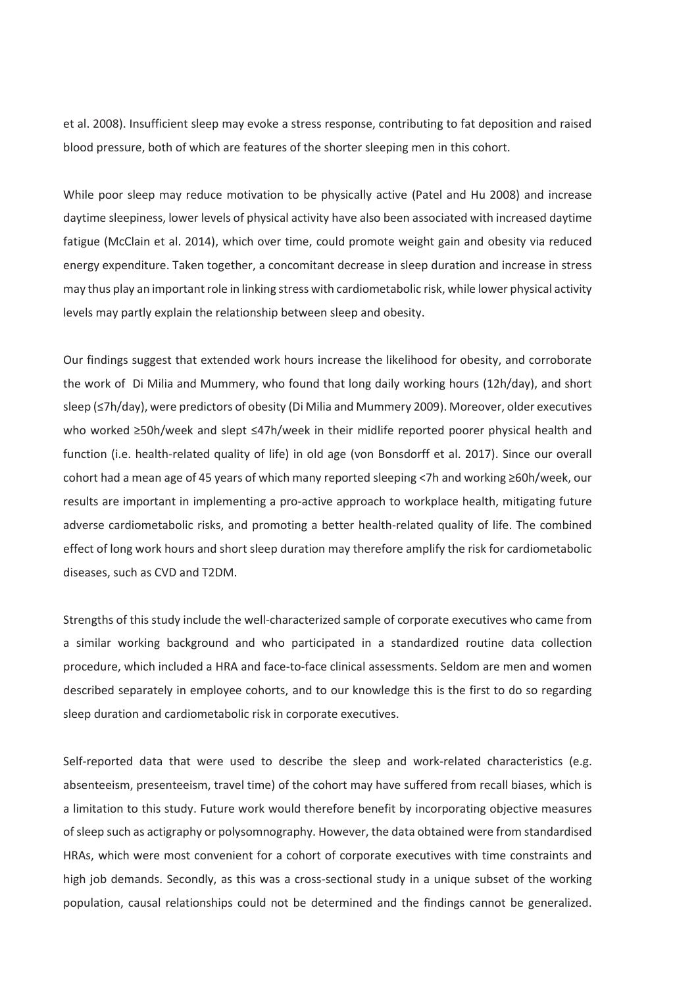et al. 2008). Insufficient sleep may evoke a stress response, contributing to fat deposition and raised blood pressure, both of which are features of the shorter sleeping men in this cohort.

While poor sleep may reduce motivation to be physically active (Patel and Hu 2008) and increase daytime sleepiness, lower levels of physical activity have also been associated with increased daytime fatigue (McClain et al. 2014), which over time, could promote weight gain and obesity via reduced energy expenditure. Taken together, a concomitant decrease in sleep duration and increase in stress may thus play an important role in linking stress with cardiometabolic risk, while lower physical activity levels may partly explain the relationship between sleep and obesity.

Our findings suggest that extended work hours increase the likelihood for obesity, and corroborate the work of Di Milia and Mummery, who found that long daily working hours (12h/day), and short sleep (≤7h/day), were predictors of obesity (Di Milia and Mummery 2009). Moreover, older executives who worked ≥50h/week and slept ≤47h/week in their midlife reported poorer physical health and function (i.e. health-related quality of life) in old age (von Bonsdorff et al. 2017). Since our overall cohort had a mean age of 45 years of which many reported sleeping <7h and working ≥60h/week, our results are important in implementing a pro-active approach to workplace health, mitigating future adverse cardiometabolic risks, and promoting a better health-related quality of life. The combined effect of long work hours and short sleep duration may therefore amplify the risk for cardiometabolic diseases, such as CVD and T2DM.

Strengths of this study include the well-characterized sample of corporate executives who came from a similar working background and who participated in a standardized routine data collection procedure, which included a HRA and face-to-face clinical assessments. Seldom are men and women described separately in employee cohorts, and to our knowledge this is the first to do so regarding sleep duration and cardiometabolic risk in corporate executives.

Self-reported data that were used to describe the sleep and work-related characteristics (e.g. absenteeism, presenteeism, travel time) of the cohort may have suffered from recall biases, which is a limitation to this study. Future work would therefore benefit by incorporating objective measures of sleep such as actigraphy or polysomnography. However, the data obtained were from standardised HRAs, which were most convenient for a cohort of corporate executives with time constraints and high job demands. Secondly, as this was a cross-sectional study in a unique subset of the working population, causal relationships could not be determined and the findings cannot be generalized.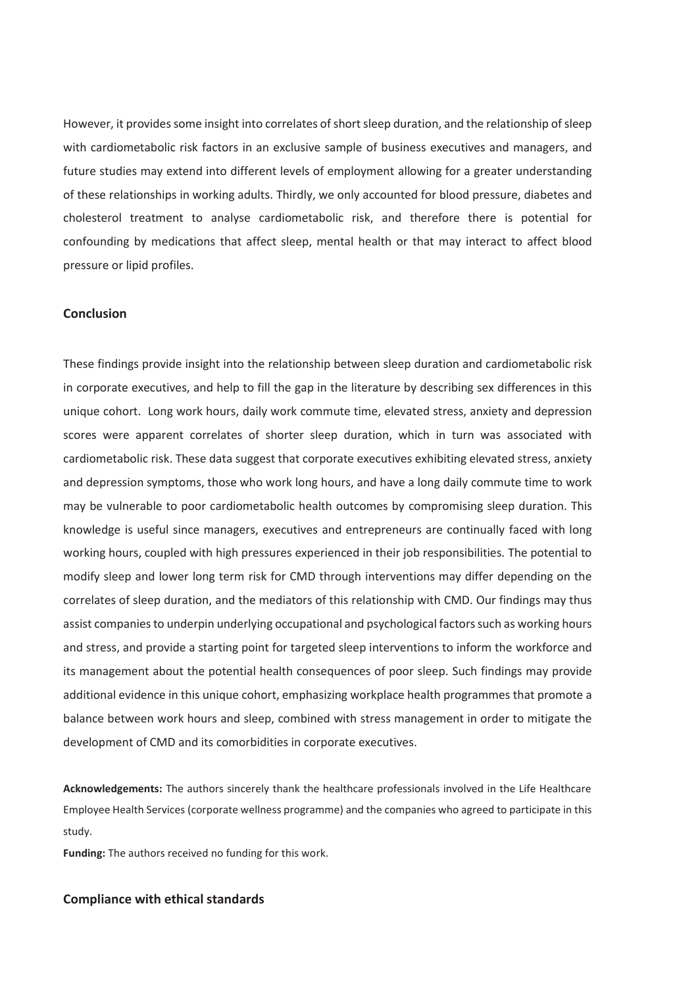However, it provides some insight into correlates of short sleep duration, and the relationship of sleep with cardiometabolic risk factors in an exclusive sample of business executives and managers, and future studies may extend into different levels of employment allowing for a greater understanding of these relationships in working adults. Thirdly, we only accounted for blood pressure, diabetes and cholesterol treatment to analyse cardiometabolic risk, and therefore there is potential for confounding by medications that affect sleep, mental health or that may interact to affect blood pressure or lipid profiles.

## **Conclusion**

These findings provide insight into the relationship between sleep duration and cardiometabolic risk in corporate executives, and help to fill the gap in the literature by describing sex differences in this unique cohort. Long work hours, daily work commute time, elevated stress, anxiety and depression scores were apparent correlates of shorter sleep duration, which in turn was associated with cardiometabolic risk. These data suggest that corporate executives exhibiting elevated stress, anxiety and depression symptoms, those who work long hours, and have a long daily commute time to work may be vulnerable to poor cardiometabolic health outcomes by compromising sleep duration. This knowledge is useful since managers, executives and entrepreneurs are continually faced with long working hours, coupled with high pressures experienced in their job responsibilities. The potential to modify sleep and lower long term risk for CMD through interventions may differ depending on the correlates of sleep duration, and the mediators of this relationship with CMD. Our findings may thus assist companies to underpin underlying occupational and psychological factors such as working hours and stress, and provide a starting point for targeted sleep interventions to inform the workforce and its management about the potential health consequences of poor sleep. Such findings may provide additional evidence in this unique cohort, emphasizing workplace health programmes that promote a balance between work hours and sleep, combined with stress management in order to mitigate the development of CMD and its comorbidities in corporate executives.

**Acknowledgements:** The authors sincerely thank the healthcare professionals involved in the Life Healthcare Employee Health Services (corporate wellness programme) and the companies who agreed to participate in this study.

**Funding:** The authors received no funding for this work.

# **Compliance with ethical standards**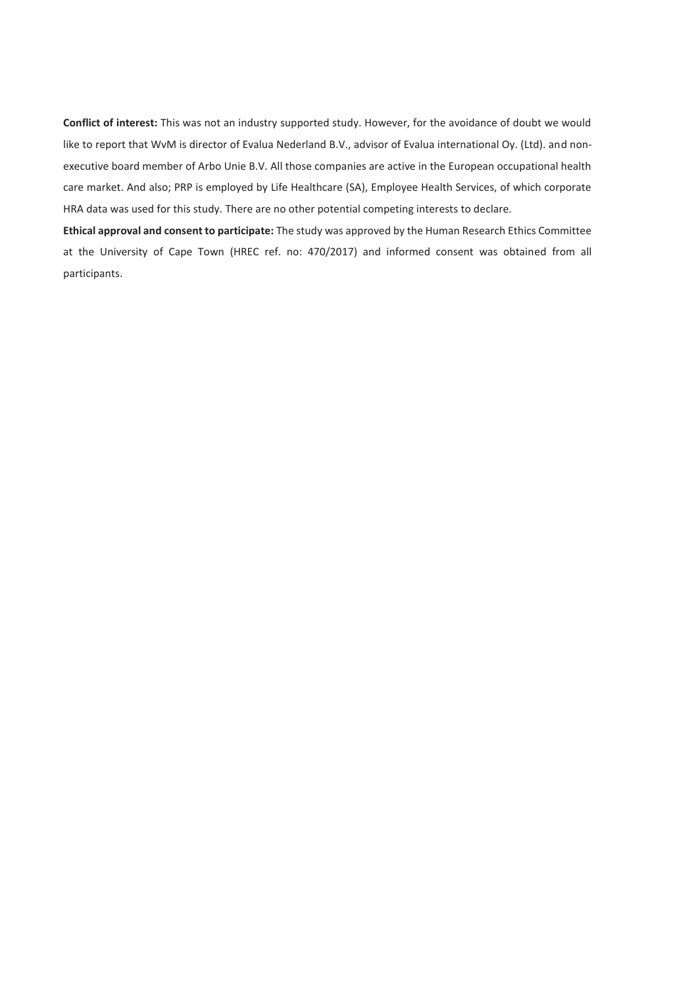**Conflict of interest:** This was not an industry supported study. However, for the avoidance of doubt we would like to report that WvM is director of Evalua Nederland B.V., advisor of Evalua international Oy. (Ltd). and nonexecutive board member of Arbo Unie B.V. All those companies are active in the European occupational health care market. And also; PRP is employed by Life Healthcare (SA), Employee Health Services, of which corporate HRA data was used for this study. There are no other potential competing interests to declare.

**Ethical approval and consent to participate:** The study was approved by the Human Research Ethics Committee at the University of Cape Town (HREC ref. no: 470/2017) and informed consent was obtained from all participants.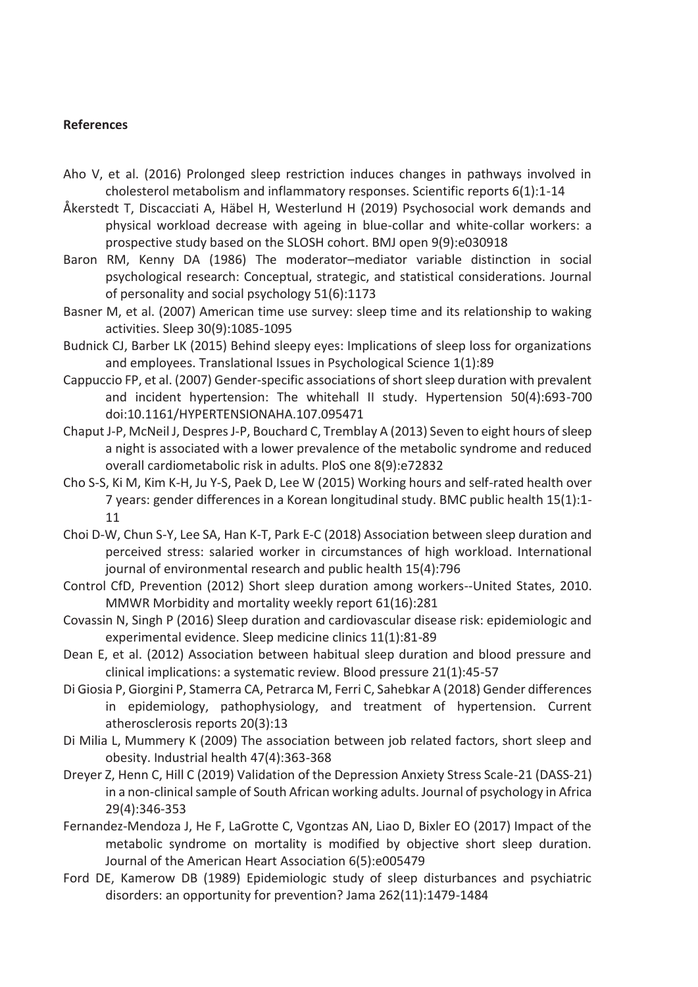# **References**

- Aho V, et al. (2016) Prolonged sleep restriction induces changes in pathways involved in cholesterol metabolism and inflammatory responses. Scientific reports 6(1):1-14
- Åkerstedt T, Discacciati A, Häbel H, Westerlund H (2019) Psychosocial work demands and physical workload decrease with ageing in blue-collar and white-collar workers: a prospective study based on the SLOSH cohort. BMJ open 9(9):e030918
- Baron RM, Kenny DA (1986) The moderator–mediator variable distinction in social psychological research: Conceptual, strategic, and statistical considerations. Journal of personality and social psychology 51(6):1173
- Basner M, et al. (2007) American time use survey: sleep time and its relationship to waking activities. Sleep 30(9):1085-1095
- Budnick CJ, Barber LK (2015) Behind sleepy eyes: Implications of sleep loss for organizations and employees. Translational Issues in Psychological Science 1(1):89
- Cappuccio FP, et al. (2007) Gender-specific associations of short sleep duration with prevalent and incident hypertension: The whitehall II study. Hypertension 50(4):693-700 doi:10.1161/HYPERTENSIONAHA.107.095471
- Chaput J-P, McNeil J, Despres J-P, Bouchard C, Tremblay A (2013) Seven to eight hours of sleep a night is associated with a lower prevalence of the metabolic syndrome and reduced overall cardiometabolic risk in adults. PloS one 8(9):e72832
- Cho S-S, Ki M, Kim K-H, Ju Y-S, Paek D, Lee W (2015) Working hours and self-rated health over 7 years: gender differences in a Korean longitudinal study. BMC public health 15(1):1- 11
- Choi D-W, Chun S-Y, Lee SA, Han K-T, Park E-C (2018) Association between sleep duration and perceived stress: salaried worker in circumstances of high workload. International journal of environmental research and public health 15(4):796
- Control CfD, Prevention (2012) Short sleep duration among workers--United States, 2010. MMWR Morbidity and mortality weekly report 61(16):281
- Covassin N, Singh P (2016) Sleep duration and cardiovascular disease risk: epidemiologic and experimental evidence. Sleep medicine clinics 11(1):81-89
- Dean E, et al. (2012) Association between habitual sleep duration and blood pressure and clinical implications: a systematic review. Blood pressure 21(1):45-57
- Di Giosia P, Giorgini P, Stamerra CA, Petrarca M, Ferri C, Sahebkar A (2018) Gender differences in epidemiology, pathophysiology, and treatment of hypertension. Current atherosclerosis reports 20(3):13
- Di Milia L, Mummery K (2009) The association between job related factors, short sleep and obesity. Industrial health 47(4):363-368
- Dreyer Z, Henn C, Hill C (2019) Validation of the Depression Anxiety Stress Scale-21 (DASS-21) in a non-clinical sample of South African working adults. Journal of psychology in Africa 29(4):346-353
- Fernandez-Mendoza J, He F, LaGrotte C, Vgontzas AN, Liao D, Bixler EO (2017) Impact of the metabolic syndrome on mortality is modified by objective short sleep duration. Journal of the American Heart Association 6(5):e005479
- Ford DE, Kamerow DB (1989) Epidemiologic study of sleep disturbances and psychiatric disorders: an opportunity for prevention? Jama 262(11):1479-1484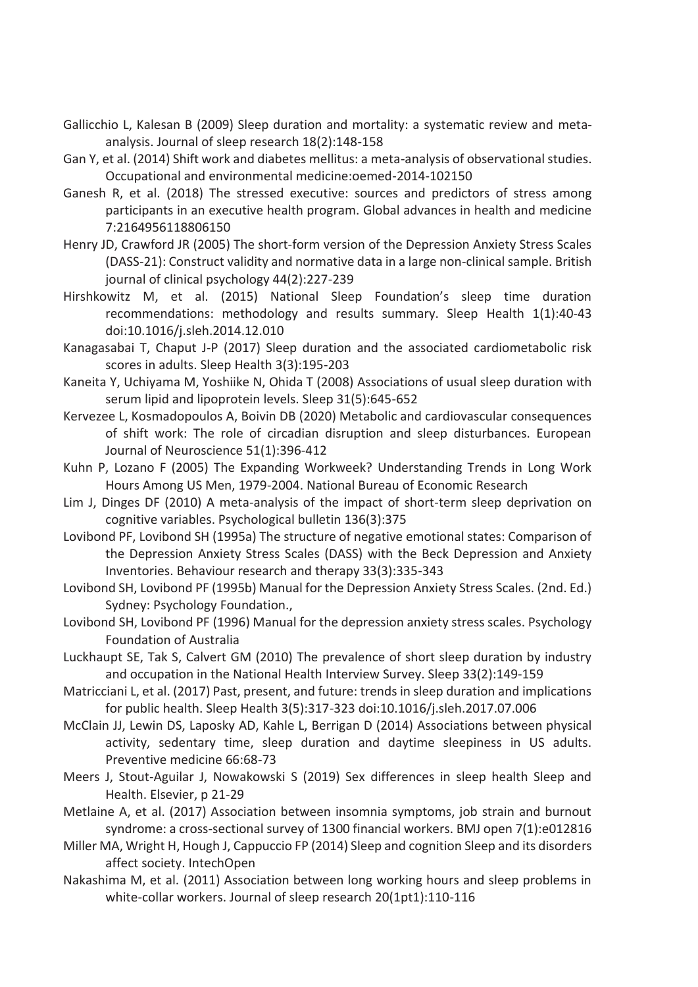- Gallicchio L, Kalesan B (2009) Sleep duration and mortality: a systematic review and metaanalysis. Journal of sleep research 18(2):148-158
- Gan Y, et al. (2014) Shift work and diabetes mellitus: a meta-analysis of observational studies. Occupational and environmental medicine:oemed-2014-102150
- Ganesh R, et al. (2018) The stressed executive: sources and predictors of stress among participants in an executive health program. Global advances in health and medicine 7:2164956118806150
- Henry JD, Crawford JR (2005) The short-form version of the Depression Anxiety Stress Scales (DASS-21): Construct validity and normative data in a large non-clinical sample. British journal of clinical psychology 44(2):227-239
- Hirshkowitz M, et al. (2015) National Sleep Foundation's sleep time duration recommendations: methodology and results summary. Sleep Health 1(1):40-43 doi:10.1016/j.sleh.2014.12.010
- Kanagasabai T, Chaput J-P (2017) Sleep duration and the associated cardiometabolic risk scores in adults. Sleep Health 3(3):195-203
- Kaneita Y, Uchiyama M, Yoshiike N, Ohida T (2008) Associations of usual sleep duration with serum lipid and lipoprotein levels. Sleep 31(5):645-652
- Kervezee L, Kosmadopoulos A, Boivin DB (2020) Metabolic and cardiovascular consequences of shift work: The role of circadian disruption and sleep disturbances. European Journal of Neuroscience 51(1):396-412
- Kuhn P, Lozano F (2005) The Expanding Workweek? Understanding Trends in Long Work Hours Among US Men, 1979-2004. National Bureau of Economic Research
- Lim J, Dinges DF (2010) A meta-analysis of the impact of short-term sleep deprivation on cognitive variables. Psychological bulletin 136(3):375
- Lovibond PF, Lovibond SH (1995a) The structure of negative emotional states: Comparison of the Depression Anxiety Stress Scales (DASS) with the Beck Depression and Anxiety Inventories. Behaviour research and therapy 33(3):335-343
- Lovibond SH, Lovibond PF (1995b) Manual for the Depression Anxiety Stress Scales. (2nd. Ed.) Sydney: Psychology Foundation.,
- Lovibond SH, Lovibond PF (1996) Manual for the depression anxiety stress scales. Psychology Foundation of Australia
- Luckhaupt SE, Tak S, Calvert GM (2010) The prevalence of short sleep duration by industry and occupation in the National Health Interview Survey. Sleep 33(2):149-159
- Matricciani L, et al. (2017) Past, present, and future: trends in sleep duration and implications for public health. Sleep Health 3(5):317-323 doi:10.1016/j.sleh.2017.07.006
- McClain JJ, Lewin DS, Laposky AD, Kahle L, Berrigan D (2014) Associations between physical activity, sedentary time, sleep duration and daytime sleepiness in US adults. Preventive medicine 66:68-73
- Meers J, Stout-Aguilar J, Nowakowski S (2019) Sex differences in sleep health Sleep and Health. Elsevier, p 21-29
- Metlaine A, et al. (2017) Association between insomnia symptoms, job strain and burnout syndrome: a cross-sectional survey of 1300 financial workers. BMJ open 7(1):e012816
- Miller MA, Wright H, Hough J, Cappuccio FP (2014) Sleep and cognition Sleep and its disorders affect society. IntechOpen
- Nakashima M, et al. (2011) Association between long working hours and sleep problems in white-collar workers. Journal of sleep research 20(1pt1):110-116